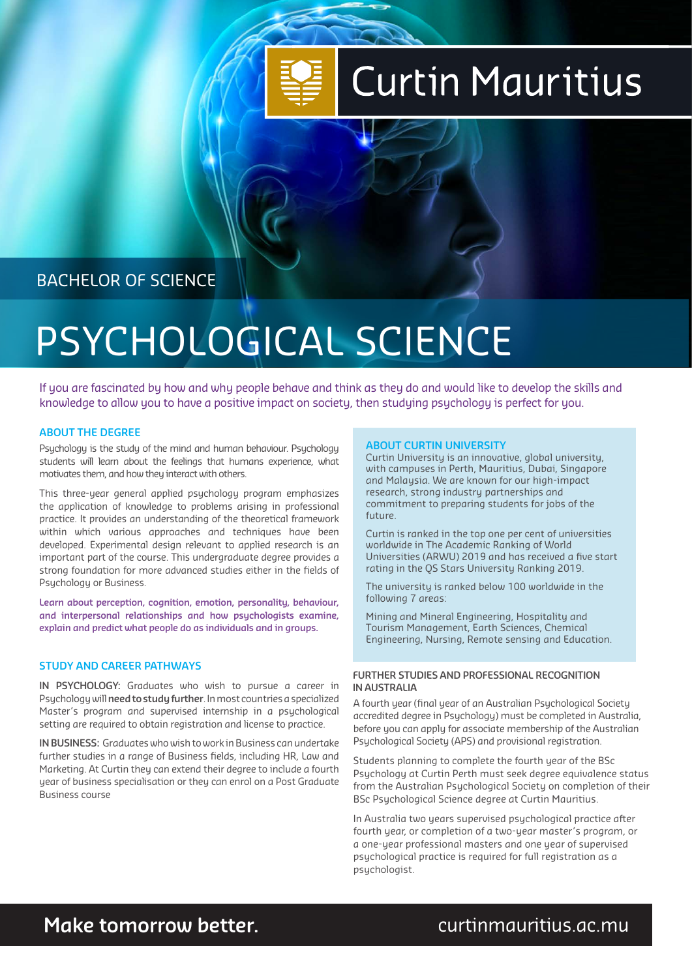# **Curtin Mauritius**

BACHELOR OF SCIENCE

# PSYCHOLOGICAL SCIENCE

If you are fascinated by how and why people behave and think as they do and would like to develop the skills and knowledge to allow you to have a positive impact on society, then studying psychology is perfect for you.

### **ABOUT THE DEGREE**

Psychology is the study of the mind and human behaviour. Psychology students will learn about the feelings that humans experience, what motivates them, and how they interact with others.

This three-year general applied psychology program emphasizes the application of knowledge to problems arising in professional practice. It provides an understanding of the theoretical framework within which various approaches and techniques have been developed. Experimental design relevant to applied research is an important part of the course. This undergraduate degree provides a strong foundation for more advanced studies either in the fields of Psychology or Business.

**Learn about perception, cognition, emotion, personality, behaviour, and interpersonal relationships and how psychologists examine, explain and predict what people do as individuals and in groups.** 

### **STUDY AND CAREER PATHWAYS**

**IN PSYCHOLOGY:** Graduates who wish to pursue a career in Psychology will **need to study further**. In most countries a specialized Master's program and supervised internship in a psychological setting are required to obtain registration and license to practice.

**IN BUSINESS:** Graduates who wish to work in Business can undertake further studies in a range of Business fields, including HR, Law and Marketing. At Curtin they can extend their degree to include a fourth year of business specialisation or they can enrol on a Post Graduate Business course

#### **ABOUT CURTIN UNIVERSITY**

Curtin University is an innovative, global university, with campuses in Perth, Mauritius, Dubai, Singapore and Malaysia. We are known for our high-impact research, strong industry partnerships and commitment to preparing students for jobs of the future.

Curtin is ranked in the top one per cent of universities worldwide in The Academic Ranking of World Universities (ARWU) 2019 and has received a five start rating in the QS Stars University Ranking 2019.

The university is ranked below 100 worldwide in the following 7 areas:

Mining and Mineral Engineering, Hospitality and Tourism Management, Earth Sciences, Chemical Engineering, Nursing, Remote sensing and Education.

#### **FURTHER STUDIES AND PROFESSIONAL RECOGNITION IN AUSTRALIA**

A fourth year (final year of an Australian Psychological Society accredited degree in Psychology) must be completed in Australia, before you can apply for associate membership of the Australian Psychological Society (APS) and provisional registration.

Students planning to complete the fourth year of the BSc Psychology at Curtin Perth must seek degree equivalence status from the Australian Psychological Society on completion of their BSc Psychological Science degree at Curtin Mauritius.

In Australia two years supervised psychological practice after fourth year, or completion of a two-year master's program, or a one-year professional masters and one year of supervised psychological practice is required for full registration as a psychologist.

## curtinmauritius.ac.mu